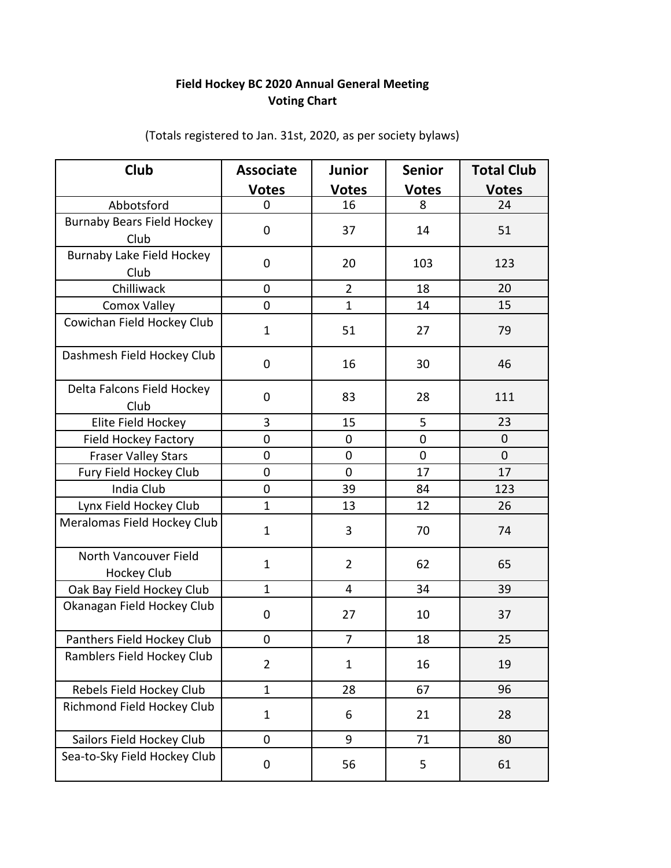## **Voting Chart Field Hockey BC 2020 Annual General Meeting**

| Club                                      | <b>Associate</b> | <b>Junior</b>  | <b>Senior</b> | <b>Total Club</b> |
|-------------------------------------------|------------------|----------------|---------------|-------------------|
|                                           | <u>Votes</u>     | <b>Votes</b>   | <b>Votes</b>  | <b>Votes</b>      |
| Abbotsford                                | 0                | 16             | 8             | 24                |
| <b>Burnaby Bears Field Hockey</b><br>Club | 0                | 37             | 14            | 51                |
| Burnaby Lake Field Hockey<br>Club         | 0                | 20             | 103           | 123               |
| Chilliwack                                | 0                | $\overline{2}$ | 18            | 20                |
| <b>Comox Valley</b>                       | $\overline{0}$   | $\mathbf{1}$   | 14            | 15                |
| Cowichan Field Hockey Club                | $\mathbf{1}$     | 51             | 27            | 79                |
| Dashmesh Field Hockey Club                | $\boldsymbol{0}$ | 16             | 30            | 46                |
| Delta Falcons Field Hockey<br>Club        | 0                | 83             | 28            | 111               |
| Elite Field Hockey                        | 3                | 15             | 5             | 23                |
| <b>Field Hockey Factory</b>               | 0                | $\mathbf 0$    | $\pmb{0}$     | $\mathbf 0$       |
| <b>Fraser Valley Stars</b>                | $\overline{0}$   | $\mathbf 0$    | $\mathbf 0$   | $\mathbf 0$       |
| Fury Field Hockey Club                    | 0                | $\mathbf 0$    | 17            | 17                |
| India Club                                | 0                | 39             | 84            | 123               |
| Lynx Field Hockey Club                    | $\mathbf{1}$     | 13             | 12            | 26                |
| Meralomas Field Hockey Club               | $\mathbf{1}$     | 3              | 70            | 74                |
| North Vancouver Field                     | $\mathbf{1}$     | 2              | 62            | 65                |
| <b>Hockey Club</b>                        |                  |                |               |                   |
| Oak Bay Field Hockey Club                 | $\mathbf{1}$     | 4              | 34            | 39                |
| Okanagan Field Hockey Club                | $\boldsymbol{0}$ | 27             | 10            | 37                |
| Panthers Field Hockey Club                | $\mathbf 0$      | $\overline{7}$ | 18            | 25                |
| Ramblers Field Hockey Club                | $\overline{2}$   | 1              | 16            | 19                |
| Rebels Field Hockey Club                  | $\mathbf{1}$     | 28             | 67            | 96                |
| Richmond Field Hockey Club                | $\mathbf{1}$     | 6              | 21            | 28                |
| Sailors Field Hockey Club                 | $\boldsymbol{0}$ | 9              | 71            | 80                |
| Sea-to-Sky Field Hockey Club              | $\boldsymbol{0}$ | 56             | 5             | 61                |

(Totals registered to Jan. 31st, 2020, as per society bylaws)